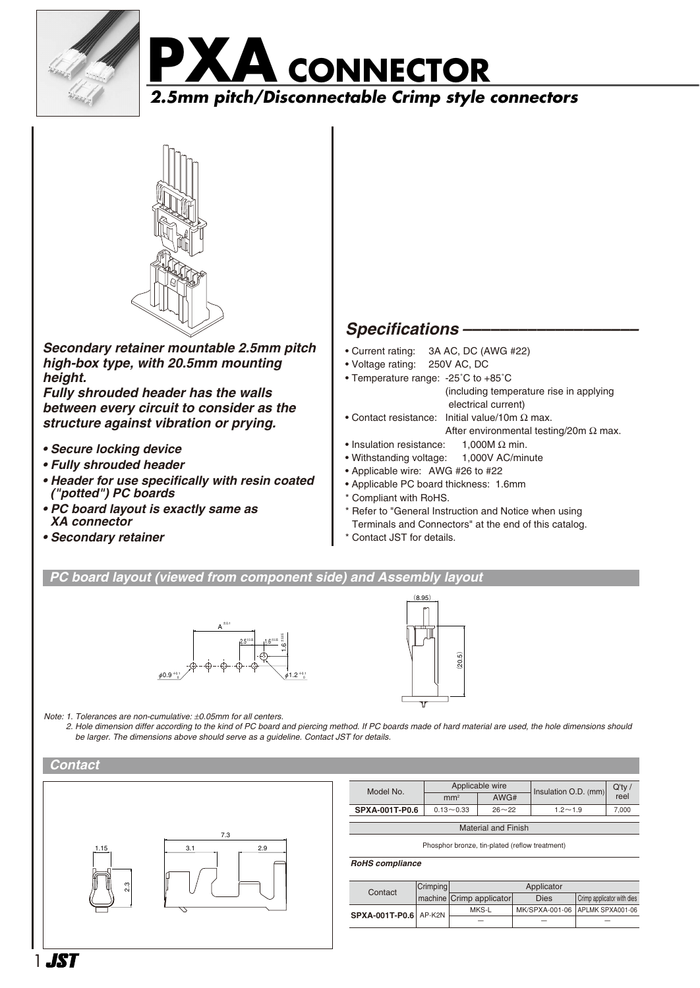





*Secondary retainer mountable 2.5mm pitch high-box type, with 20.5mm mounting height.*

*Fully shrouded header has the walls between every circuit to consider as the structure against vibration or prying.*

- *Secure locking device*
- *Fully shrouded header*
- *Header for use specifically with resin coated ("potted") PC boards*
- *PC board layout is exactly same as XA connector*
- *Secondary retainer*

# *Specifications –––––––––––––––––––*

- Current rating: 3A AC, DC (AWG #22)
- Voltage rating: 250V AC, DC
- Temperature range: -25˚C to +85˚C
	- (including temperature rise in applying electrical current)
- Contact resistance: Initial value/10m  $\Omega$  max. After environmental testing/20m  $\Omega$  max.
- Insulation resistance:  $1,000M \Omega$  min.
- Withstanding voltage: 1,000V AC/minute
- Applicable wire: AWG #26 to #22
- Applicable PC board thickness: 1.6mm
- \* Compliant with RoHS.
- \* Refer to "General Instruction and Notice when using Terminals and Connectors" at the end of this catalog.
- Contact JST for details.

## *PC board layout (viewed from component side) and Assembly layout*





*Note: 1. Tolerances are non-cumulative:* ±*0.05mm for all centers.*

*2. Hole dimension differ according to the kind of PC board and piercing method. If PC boards made of hard material are used, the hole dimensions should be larger. The dimensions above should serve as a guideline. Contact JST for details.*





| Model No.                          | Applicable wire |           | Insulation O.D. (mm) | Q'tv/ |  |
|------------------------------------|-----------------|-----------|----------------------|-------|--|
|                                    | mm <sup>2</sup> | AWG#      |                      | reel  |  |
| SPXA-001T-P0.6                     | $0.13 - 0.33$   | $26 - 22$ | $1.2 - 1.9$          | 7,000 |  |
| A A when we have all Financial and |                 |           |                      |       |  |

Material and Finish

Phosphor bronze, tin-plated (reflow treatment)

#### *RoHS compliance*

| Contact               | <b>Crimping</b> | Applicator               |      |                                 |
|-----------------------|-----------------|--------------------------|------|---------------------------------|
|                       |                 | machine Crimp applicator | Dies | Crimp applicator with dies      |
| SPXA-001T-P0.6 AP-K2N |                 | MKS-L                    |      | MK/SPXA-001-06 APLMK SPXA001-06 |
|                       |                 |                          |      |                                 |